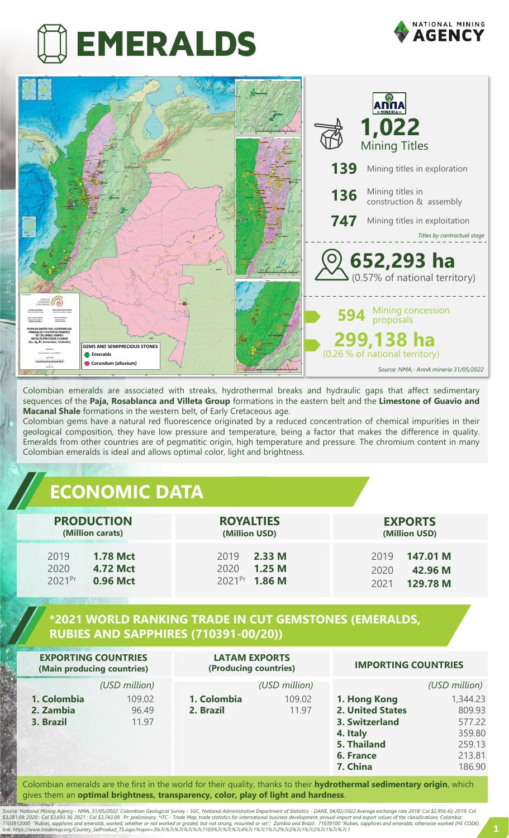# **EMERALDS**





Colombian emeralds are associated with streaks, hydrothermal breaks and hydraulic gaps that affect sedimentary sequences of the **Paja, Rosablanca and Villeta Group** formations in the eastern belt and the **Limestone of Guavio and Macanal Shale** formations in the western belt, of Early Cretaceous age.

Colombian gems have a natural red fluorescence originated by a reduced concentration of chemical impurities in their geological composition, they have low pressure and temperature, being a factor that makes the difference in quality. Emeralds from other countries are of pegmatitic origin, high temperature and pressure. The chromium content in many Colombian emeralds is ideal and allows optimal color, light and brightness.

#### **ECONOMIC DATA**

| <b>PRODUCTION</b>  | <b>ROYALTIES</b>   | <b>EXPORTS</b> |  |  |
|--------------------|--------------------|----------------|--|--|
| (Million carats)   | (Million USD)      | (Million USD)  |  |  |
| 2019               | 2019               | 147.01 M       |  |  |
| <b>1.78 Mct</b>    | 2.33M              | 2019           |  |  |
| 2020               | 2020               | 42.96 M        |  |  |
| <b>4.72 Mct</b>    | 1.25 <sub>M</sub>  | 2020           |  |  |
| 2021 <sup>Pr</sup> | 2021 <sup>Pr</sup> | 129.78 M       |  |  |
| 0.96 Mct           | 1.86 <sub>M</sub>  | 2021           |  |  |

#### **\*2021 WORLD RANKING TRADE IN CUT GEMSTONES (EMERALDS, RUBIES AND SAPPHIRES (710391-00/20))**

| <b>EXPORTING COUNTRIES</b><br>(Main producing countries) |                          | <b>LATAM EXPORTS</b><br>(Producing countries) |                 | <b>IMPORTING COUNTRIES</b>                                                                                    |                                                                      |
|----------------------------------------------------------|--------------------------|-----------------------------------------------|-----------------|---------------------------------------------------------------------------------------------------------------|----------------------------------------------------------------------|
|                                                          | (USD million)            |                                               | (USD million)   |                                                                                                               | (USD million)                                                        |
| 1. Colombia<br>2. Zambia<br>3. Brazil                    | 109.02<br>96.49<br>11.97 | 1. Colombia<br>2. Brazil                      | 109.02<br>11.97 | 1. Hong Kong<br><b>2. United States</b><br>3. Switzerland<br>4. Italy<br>5. Thailand<br>6. France<br>7. China | 1,344.23<br>809.93<br>577.22<br>359.80<br>259.13<br>213.81<br>186.90 |

Colombian emeralds are the first in the world for their quality, thanks to their **hydrothermal sedimentary origin**, which gives them an **optimal brightness, transparency, color, play of light and hardness**.

Source: National Mining Agency - NMA, 31/05/2022. Colombian Geological Survey - SGC, National Administrative Department of Statistics - DANE, 04/02/2022.Average exchange rate 2018: Col \$2,956.43; 2019: Col<br>\$3,281.09: 2020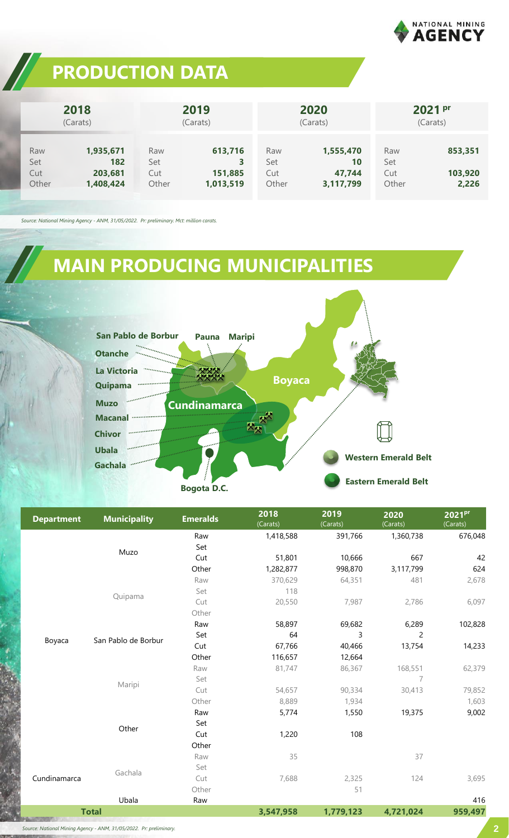

### **PRODUCTION DATA**

|                            | 2018<br>(Carats)                         |                            | 2019<br>(Carats)                     |                            | 2020<br>(Carats)                       |                            | 2021 pr<br>(Carats)         |
|----------------------------|------------------------------------------|----------------------------|--------------------------------------|----------------------------|----------------------------------------|----------------------------|-----------------------------|
| Raw<br>Set<br>Cut<br>Other | 1,935,671<br>182<br>203,681<br>1,408,424 | Raw<br>Set<br>Cut<br>Other | 613,716<br>3<br>151,885<br>1,013,519 | Raw<br>Set<br>Cut<br>Other | 1,555,470<br>10<br>47,744<br>3,117,799 | Raw<br>Set<br>Cut<br>Other | 853,351<br>103,920<br>2,226 |

*Source: National Mining Agency - ANM, 31/05/2022. Pr: preliminary. Mct: million carats.*

## **MAIN PRODUCING MUNICIPALITIES**



| <b>Department</b> | <b>Municipality</b>           | <b>Emeralds</b> | 2018<br>(Carats) | 2019<br>(Carats) | 2020<br>(Carats) | 2021 <sup>pr</sup><br>(Carats) |
|-------------------|-------------------------------|-----------------|------------------|------------------|------------------|--------------------------------|
|                   |                               | Raw             | 1,418,588        | 391,766          | 1,360,738        | 676,048                        |
|                   | Muzo                          | Set             |                  |                  |                  |                                |
|                   |                               | Cut             | 51,801           | 10,666           | 667              | 42                             |
|                   |                               | Other           | 1,282,877        | 998,870          | 3,117,799        | 624                            |
|                   |                               | Raw             | 370,629          | 64,351           | 481              | 2,678                          |
|                   |                               | Set             | 118              |                  |                  |                                |
|                   | Quipama                       | Cut             | 20,550           | 7,987            | 2,786            | 6,097                          |
|                   |                               | Other           |                  |                  |                  |                                |
|                   | San Pablo de Borbur<br>Maripi | Raw             | 58,897           | 69,682           | 6,289            | 102,828                        |
|                   |                               | Set             | 64               | 3                | $\overline{c}$   |                                |
| Boyaca            |                               | Cut             | 67,766           | 40,466           | 13,754           | 14,233                         |
|                   |                               | Other           | 116,657          | 12,664           |                  |                                |
|                   |                               | Raw             | 81,747           | 86,367           | 168,551          | 62,379                         |
|                   |                               | Set             |                  |                  | $\overline{7}$   |                                |
|                   |                               | Cut             | 54,657           | 90,334           | 30,413           | 79,852                         |
|                   |                               | Other           | 8,889            | 1,934            |                  | 1,603                          |
|                   | Other                         | Raw             | 5,774            | 1,550            | 19,375           | 9,002                          |
|                   |                               | Set             |                  |                  |                  |                                |
|                   |                               | Cut             | 1,220            | 108              |                  |                                |
|                   |                               | Other           |                  |                  |                  |                                |
| Cundinamarca      | Gachala                       | Raw             | 35               |                  | 37               |                                |
|                   |                               | Set             |                  |                  |                  |                                |
|                   |                               | Cut             | 7,688            | 2,325            | 124              | 3,695                          |
|                   |                               | Other           |                  | 51               |                  |                                |
|                   | Ubala                         | Raw             |                  |                  |                  | 416                            |
| <b>Total</b>      |                               | 3,547,958       | 1,779,123        | 4,721,024        | 959,497          |                                |

*Source: National Mining Agency - ANM, 31/05/2022. Pr: preliminary.*